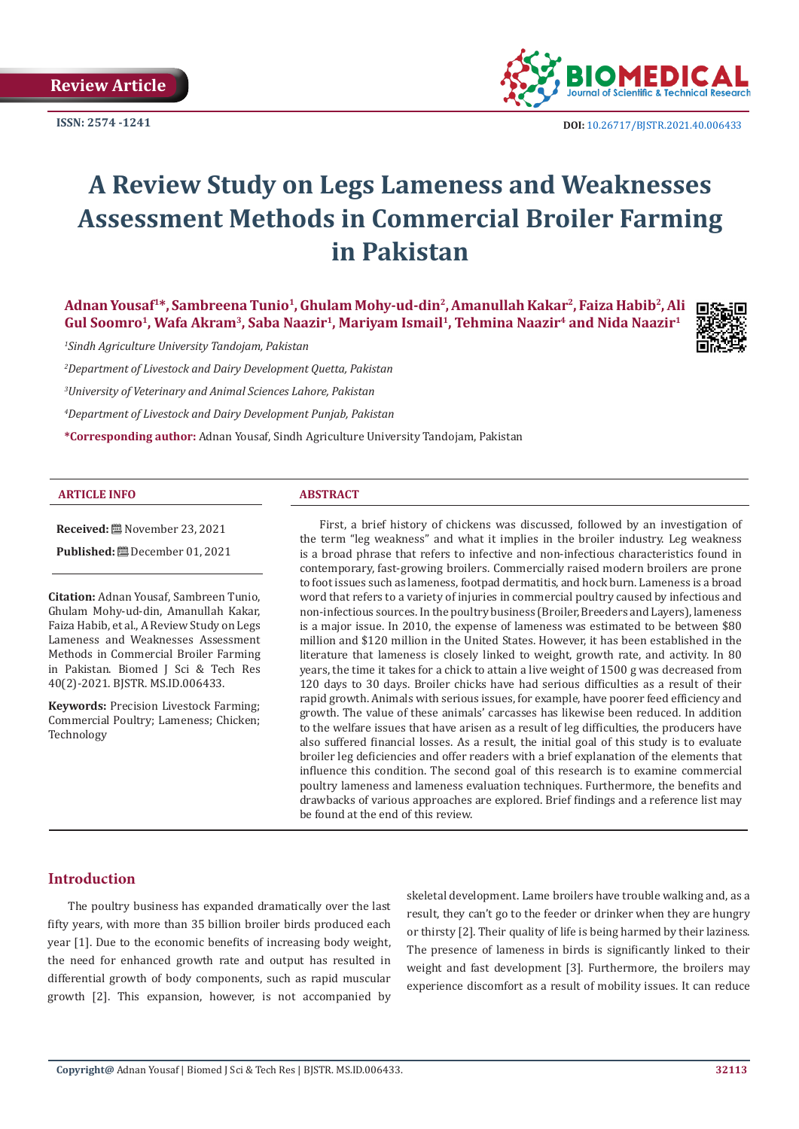**Review Article**

**ISSN: 2574 -1241**



 **DOI:** [10.26717/BJSTR.2021.40.006433](https://dx.doi.org/10.26717/BJSTR.2021.40.006433)

# **A Review Study on Legs Lameness and Weaknesses Assessment Methods in Commercial Broiler Farming in Pakistan**

Adnan Yousaf<sup>1\*</sup>, Sambreena Tunio<sup>1</sup>, Ghulam Mohy-ud-din<sup>2</sup>, Amanullah Kakar<sup>2</sup>, Faiza Habib<sup>2</sup>, Ali Gul Soomro<sup>1</sup>, Wafa Akram<sup>3</sup>, Saba Naazir<sup>1</sup>, Mariyam Ismail<sup>1</sup>, Tehmina Naazir<sup>4</sup> and Nida Naazir<sup>1</sup>



*2 Department of Livestock and Dairy Development Quetta, Pakistan* 

*3 University of Veterinary and Animal Sciences Lahore, Pakistan* 

*4 Department of Livestock and Dairy Development Punjab, Pakistan* 

**\*Corresponding author:** Adnan Yousaf, Sindh Agriculture University Tandojam, Pakistan

#### **ARTICLE INFO ABSTRACT**

**Received:** November 23, 2021

**Published:** December 01, 2021

**Citation:** Adnan Yousaf, Sambreen Tunio, Ghulam Mohy-ud-din, Amanullah Kakar, Faiza Habib, et al., A Review Study on Legs Lameness and Weaknesses Assessment Methods in Commercial Broiler Farming in Pakistan. Biomed J Sci & Tech Res 40(2)-2021. BJSTR. MS.ID.006433.

**Keywords:** Precision Livestock Farming; Commercial Poultry; Lameness; Chicken; Technology

First, a brief history of chickens was discussed, followed by an investigation of the term "leg weakness" and what it implies in the broiler industry. Leg weakness is a broad phrase that refers to infective and non-infectious characteristics found in contemporary, fast-growing broilers. Commercially raised modern broilers are prone to foot issues such as lameness, footpad dermatitis, and hock burn. Lameness is a broad word that refers to a variety of injuries in commercial poultry caused by infectious and non-infectious sources. In the poultry business (Broiler, Breeders and Layers), lameness is a major issue. In 2010, the expense of lameness was estimated to be between \$80 million and \$120 million in the United States. However, it has been established in the literature that lameness is closely linked to weight, growth rate, and activity. In 80 years, the time it takes for a chick to attain a live weight of 1500 g was decreased from 120 days to 30 days. Broiler chicks have had serious difficulties as a result of their rapid growth. Animals with serious issues, for example, have poorer feed efficiency and growth. The value of these animals' carcasses has likewise been reduced. In addition to the welfare issues that have arisen as a result of leg difficulties, the producers have also suffered financial losses. As a result, the initial goal of this study is to evaluate broiler leg deficiencies and offer readers with a brief explanation of the elements that influence this condition. The second goal of this research is to examine commercial poultry lameness and lameness evaluation techniques. Furthermore, the benefits and drawbacks of various approaches are explored. Brief findings and a reference list may be found at the end of this review.

# **Introduction**

The poultry business has expanded dramatically over the last fifty years, with more than 35 billion broiler birds produced each year [1]. Due to the economic benefits of increasing body weight, the need for enhanced growth rate and output has resulted in differential growth of body components, such as rapid muscular growth [2]. This expansion, however, is not accompanied by

skeletal development. Lame broilers have trouble walking and, as a result, they can't go to the feeder or drinker when they are hungry or thirsty [2]. Their quality of life is being harmed by their laziness. The presence of lameness in birds is significantly linked to their weight and fast development [3]. Furthermore, the broilers may experience discomfort as a result of mobility issues. It can reduce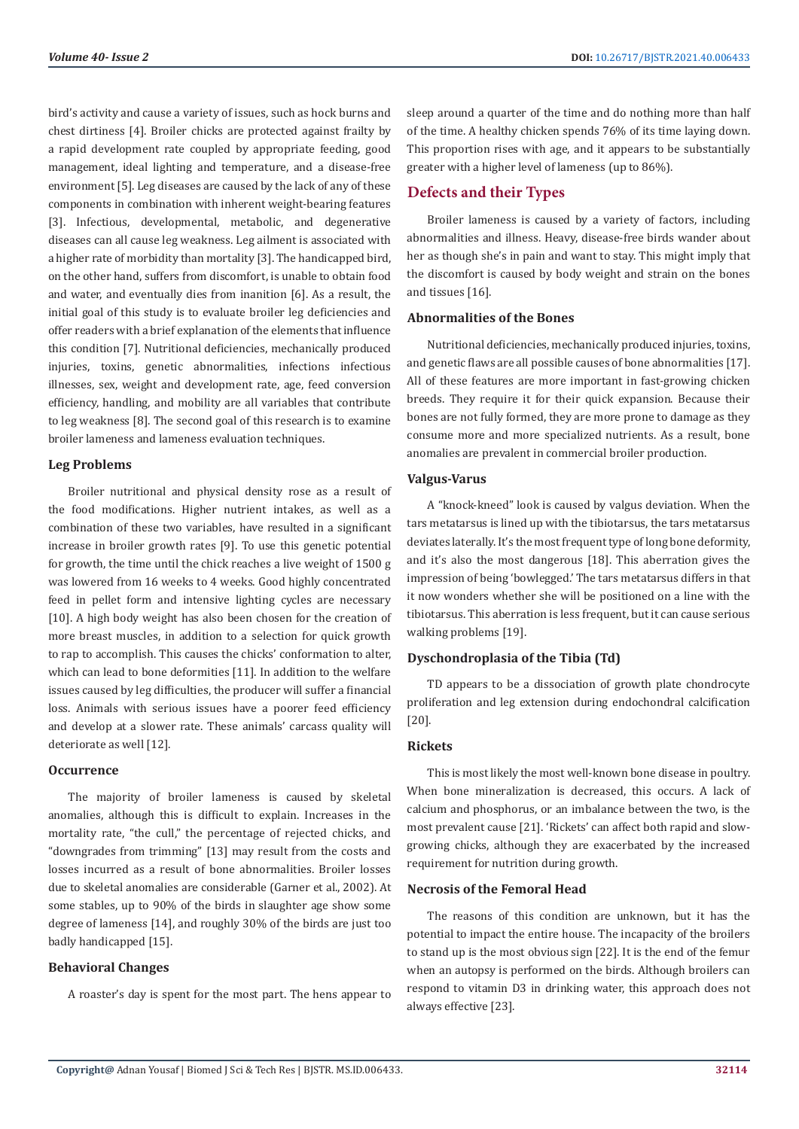bird's activity and cause a variety of issues, such as hock burns and chest dirtiness [4]. Broiler chicks are protected against frailty by a rapid development rate coupled by appropriate feeding, good management, ideal lighting and temperature, and a disease-free environment [5]. Leg diseases are caused by the lack of any of these components in combination with inherent weight-bearing features [3]. Infectious, developmental, metabolic, and degenerative diseases can all cause leg weakness. Leg ailment is associated with a higher rate of morbidity than mortality [3]. The handicapped bird, on the other hand, suffers from discomfort, is unable to obtain food and water, and eventually dies from inanition [6]. As a result, the initial goal of this study is to evaluate broiler leg deficiencies and offer readers with a brief explanation of the elements that influence this condition [7]. Nutritional deficiencies, mechanically produced injuries, toxins, genetic abnormalities, infections infectious illnesses, sex, weight and development rate, age, feed conversion efficiency, handling, and mobility are all variables that contribute to leg weakness [8]. The second goal of this research is to examine broiler lameness and lameness evaluation techniques.

#### **Leg Problems**

Broiler nutritional and physical density rose as a result of the food modifications. Higher nutrient intakes, as well as a combination of these two variables, have resulted in a significant increase in broiler growth rates [9]. To use this genetic potential for growth, the time until the chick reaches a live weight of 1500 g was lowered from 16 weeks to 4 weeks. Good highly concentrated feed in pellet form and intensive lighting cycles are necessary [10]. A high body weight has also been chosen for the creation of more breast muscles, in addition to a selection for quick growth to rap to accomplish. This causes the chicks' conformation to alter, which can lead to bone deformities [11]. In addition to the welfare issues caused by leg difficulties, the producer will suffer a financial loss. Animals with serious issues have a poorer feed efficiency and develop at a slower rate. These animals' carcass quality will deteriorate as well [12].

#### **Occurrence**

The majority of broiler lameness is caused by skeletal anomalies, although this is difficult to explain. Increases in the mortality rate, "the cull," the percentage of rejected chicks, and "downgrades from trimming" [13] may result from the costs and losses incurred as a result of bone abnormalities. Broiler losses due to skeletal anomalies are considerable (Garner et al., 2002). At some stables, up to 90% of the birds in slaughter age show some degree of lameness [14], and roughly 30% of the birds are just too badly handicapped [15].

#### **Behavioral Changes**

A roaster's day is spent for the most part. The hens appear to

sleep around a quarter of the time and do nothing more than half of the time. A healthy chicken spends 76% of its time laying down. This proportion rises with age, and it appears to be substantially greater with a higher level of lameness (up to 86%).

# **Defects and their Types**

Broiler lameness is caused by a variety of factors, including abnormalities and illness. Heavy, disease-free birds wander about her as though she's in pain and want to stay. This might imply that the discomfort is caused by body weight and strain on the bones and tissues [16].

#### **Abnormalities of the Bones**

Nutritional deficiencies, mechanically produced injuries, toxins, and genetic flaws are all possible causes of bone abnormalities [17]. All of these features are more important in fast-growing chicken breeds. They require it for their quick expansion. Because their bones are not fully formed, they are more prone to damage as they consume more and more specialized nutrients. As a result, bone anomalies are prevalent in commercial broiler production.

#### **Valgus-Varus**

A "knock-kneed" look is caused by valgus deviation. When the tars metatarsus is lined up with the tibiotarsus, the tars metatarsus deviates laterally. It's the most frequent type of long bone deformity, and it's also the most dangerous [18]. This aberration gives the impression of being 'bowlegged.' The tars metatarsus differs in that it now wonders whether she will be positioned on a line with the tibiotarsus. This aberration is less frequent, but it can cause serious walking problems [19].

#### **Dyschondroplasia of the Tibia (Td)**

TD appears to be a dissociation of growth plate chondrocyte proliferation and leg extension during endochondral calcification [20].

### **Rickets**

This is most likely the most well-known bone disease in poultry. When bone mineralization is decreased, this occurs. A lack of calcium and phosphorus, or an imbalance between the two, is the most prevalent cause [21]. 'Rickets' can affect both rapid and slowgrowing chicks, although they are exacerbated by the increased requirement for nutrition during growth.

#### **Necrosis of the Femoral Head**

The reasons of this condition are unknown, but it has the potential to impact the entire house. The incapacity of the broilers to stand up is the most obvious sign [22]. It is the end of the femur when an autopsy is performed on the birds. Although broilers can respond to vitamin D3 in drinking water, this approach does not always effective [23].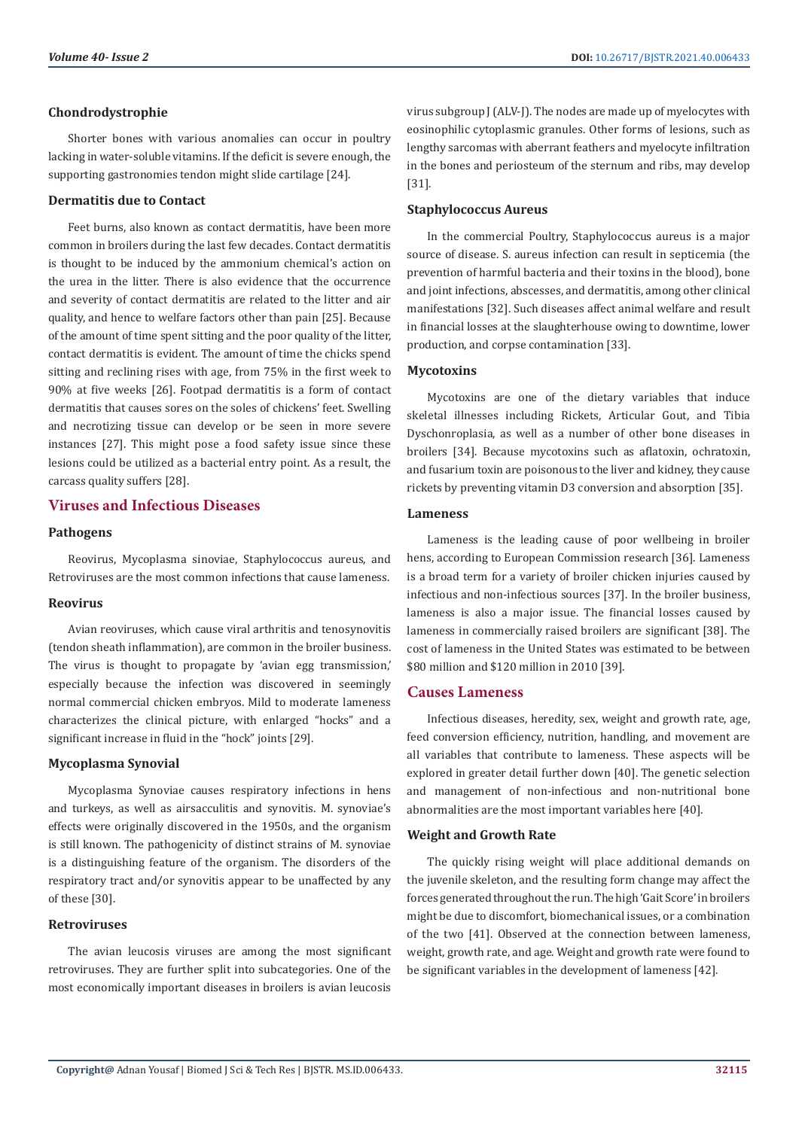#### **Chondrodystrophie**

Shorter bones with various anomalies can occur in poultry lacking in water-soluble vitamins. If the deficit is severe enough, the supporting gastronomies tendon might slide cartilage [24].

#### **Dermatitis due to Contact**

Feet burns, also known as contact dermatitis, have been more common in broilers during the last few decades. Contact dermatitis is thought to be induced by the ammonium chemical's action on the urea in the litter. There is also evidence that the occurrence and severity of contact dermatitis are related to the litter and air quality, and hence to welfare factors other than pain [25]. Because of the amount of time spent sitting and the poor quality of the litter, contact dermatitis is evident. The amount of time the chicks spend sitting and reclining rises with age, from 75% in the first week to 90% at five weeks [26]. Footpad dermatitis is a form of contact dermatitis that causes sores on the soles of chickens' feet. Swelling and necrotizing tissue can develop or be seen in more severe instances [27]. This might pose a food safety issue since these lesions could be utilized as a bacterial entry point. As a result, the carcass quality suffers [28].

# **Viruses and Infectious Diseases**

#### **Pathogens**

Reovirus, Mycoplasma sinoviae, Staphylococcus aureus, and Retroviruses are the most common infections that cause lameness.

#### **Reovirus**

Avian reoviruses, which cause viral arthritis and tenosynovitis (tendon sheath inflammation), are common in the broiler business. The virus is thought to propagate by 'avian egg transmission,' especially because the infection was discovered in seemingly normal commercial chicken embryos. Mild to moderate lameness characterizes the clinical picture, with enlarged "hocks" and a significant increase in fluid in the "hock" joints [29].

#### **Mycoplasma Synovial**

Mycoplasma Synoviae causes respiratory infections in hens and turkeys, as well as airsacculitis and synovitis. M. synoviae's effects were originally discovered in the 1950s, and the organism is still known. The pathogenicity of distinct strains of M. synoviae is a distinguishing feature of the organism. The disorders of the respiratory tract and/or synovitis appear to be unaffected by any of these [30].

#### **Retroviruses**

The avian leucosis viruses are among the most significant retroviruses. They are further split into subcategories. One of the most economically important diseases in broilers is avian leucosis virus subgroup J (ALV-J). The nodes are made up of myelocytes with eosinophilic cytoplasmic granules. Other forms of lesions, such as lengthy sarcomas with aberrant feathers and myelocyte infiltration in the bones and periosteum of the sternum and ribs, may develop [31].

### **Staphylococcus Aureus**

In the commercial Poultry, Staphylococcus aureus is a major source of disease. S. aureus infection can result in septicemia (the prevention of harmful bacteria and their toxins in the blood), bone and joint infections, abscesses, and dermatitis, among other clinical manifestations [32]. Such diseases affect animal welfare and result in financial losses at the slaughterhouse owing to downtime, lower production, and corpse contamination [33].

#### **Mycotoxins**

Mycotoxins are one of the dietary variables that induce skeletal illnesses including Rickets, Articular Gout, and Tibia Dyschonroplasia, as well as a number of other bone diseases in broilers [34]. Because mycotoxins such as aflatoxin, ochratoxin, and fusarium toxin are poisonous to the liver and kidney, they cause rickets by preventing vitamin D3 conversion and absorption [35].

#### **Lameness**

Lameness is the leading cause of poor wellbeing in broiler hens, according to European Commission research [36]. Lameness is a broad term for a variety of broiler chicken injuries caused by infectious and non-infectious sources [37]. In the broiler business, lameness is also a major issue. The financial losses caused by lameness in commercially raised broilers are significant [38]. The cost of lameness in the United States was estimated to be between \$80 million and \$120 million in 2010 [39].

# **Causes Lameness**

Infectious diseases, heredity, sex, weight and growth rate, age, feed conversion efficiency, nutrition, handling, and movement are all variables that contribute to lameness. These aspects will be explored in greater detail further down [40]. The genetic selection and management of non-infectious and non-nutritional bone abnormalities are the most important variables here [40].

#### **Weight and Growth Rate**

The quickly rising weight will place additional demands on the juvenile skeleton, and the resulting form change may affect the forces generated throughout the run. The high 'Gait Score' in broilers might be due to discomfort, biomechanical issues, or a combination of the two [41]. Observed at the connection between lameness, weight, growth rate, and age. Weight and growth rate were found to be significant variables in the development of lameness [42].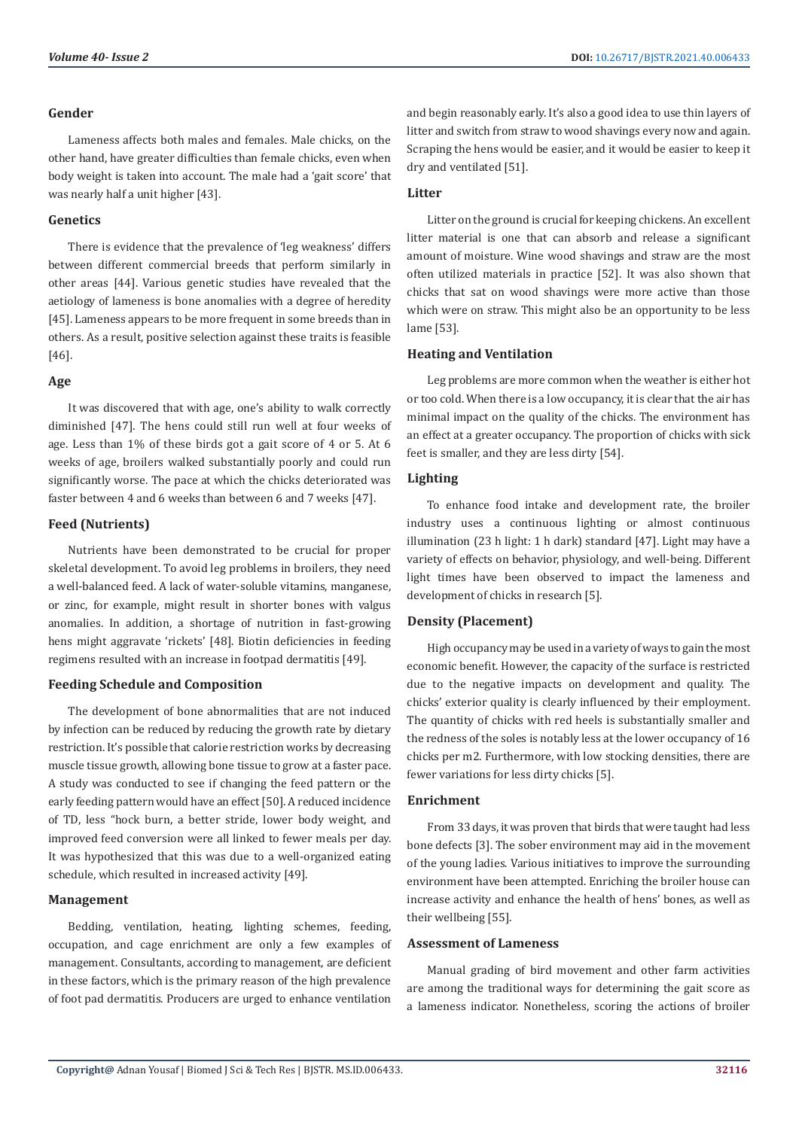#### **Gender**

Lameness affects both males and females. Male chicks, on the other hand, have greater difficulties than female chicks, even when body weight is taken into account. The male had a 'gait score' that was nearly half a unit higher [43].

#### **Genetics**

There is evidence that the prevalence of 'leg weakness' differs between different commercial breeds that perform similarly in other areas [44]. Various genetic studies have revealed that the aetiology of lameness is bone anomalies with a degree of heredity [45]. Lameness appears to be more frequent in some breeds than in others. As a result, positive selection against these traits is feasible [46].

#### **Age**

It was discovered that with age, one's ability to walk correctly diminished [47]. The hens could still run well at four weeks of age. Less than 1% of these birds got a gait score of 4 or 5. At 6 weeks of age, broilers walked substantially poorly and could run significantly worse. The pace at which the chicks deteriorated was faster between 4 and 6 weeks than between 6 and 7 weeks [47].

# **Feed (Nutrients)**

Nutrients have been demonstrated to be crucial for proper skeletal development. To avoid leg problems in broilers, they need a well-balanced feed. A lack of water-soluble vitamins, manganese, or zinc, for example, might result in shorter bones with valgus anomalies. In addition, a shortage of nutrition in fast-growing hens might aggravate 'rickets' [48]. Biotin deficiencies in feeding regimens resulted with an increase in footpad dermatitis [49].

#### **Feeding Schedule and Composition**

The development of bone abnormalities that are not induced by infection can be reduced by reducing the growth rate by dietary restriction. It's possible that calorie restriction works by decreasing muscle tissue growth, allowing bone tissue to grow at a faster pace. A study was conducted to see if changing the feed pattern or the early feeding pattern would have an effect [50]. A reduced incidence of TD, less "hock burn, a better stride, lower body weight, and improved feed conversion were all linked to fewer meals per day. It was hypothesized that this was due to a well-organized eating schedule, which resulted in increased activity [49].

#### **Management**

Bedding, ventilation, heating, lighting schemes, feeding, occupation, and cage enrichment are only a few examples of management. Consultants, according to management, are deficient in these factors, which is the primary reason of the high prevalence of foot pad dermatitis. Producers are urged to enhance ventilation and begin reasonably early. It's also a good idea to use thin layers of litter and switch from straw to wood shavings every now and again. Scraping the hens would be easier, and it would be easier to keep it dry and ventilated [51].

### **Litter**

Litter on the ground is crucial for keeping chickens. An excellent litter material is one that can absorb and release a significant amount of moisture. Wine wood shavings and straw are the most often utilized materials in practice [52]. It was also shown that chicks that sat on wood shavings were more active than those which were on straw. This might also be an opportunity to be less lame [53].

# **Heating and Ventilation**

Leg problems are more common when the weather is either hot or too cold. When there is a low occupancy, it is clear that the air has minimal impact on the quality of the chicks. The environment has an effect at a greater occupancy. The proportion of chicks with sick feet is smaller, and they are less dirty [54].

# **Lighting**

To enhance food intake and development rate, the broiler industry uses a continuous lighting or almost continuous illumination (23 h light: 1 h dark) standard [47]. Light may have a variety of effects on behavior, physiology, and well-being. Different light times have been observed to impact the lameness and development of chicks in research [5].

#### **Density (Placement)**

High occupancy may be used in a variety of ways to gain the most economic benefit. However, the capacity of the surface is restricted due to the negative impacts on development and quality. The chicks' exterior quality is clearly influenced by their employment. The quantity of chicks with red heels is substantially smaller and the redness of the soles is notably less at the lower occupancy of 16 chicks per m2. Furthermore, with low stocking densities, there are fewer variations for less dirty chicks [5].

#### **Enrichment**

From 33 days, it was proven that birds that were taught had less bone defects [3]. The sober environment may aid in the movement of the young ladies. Various initiatives to improve the surrounding environment have been attempted. Enriching the broiler house can increase activity and enhance the health of hens' bones, as well as their wellbeing [55].

#### **Assessment of Lameness**

Manual grading of bird movement and other farm activities are among the traditional ways for determining the gait score as a lameness indicator. Nonetheless, scoring the actions of broiler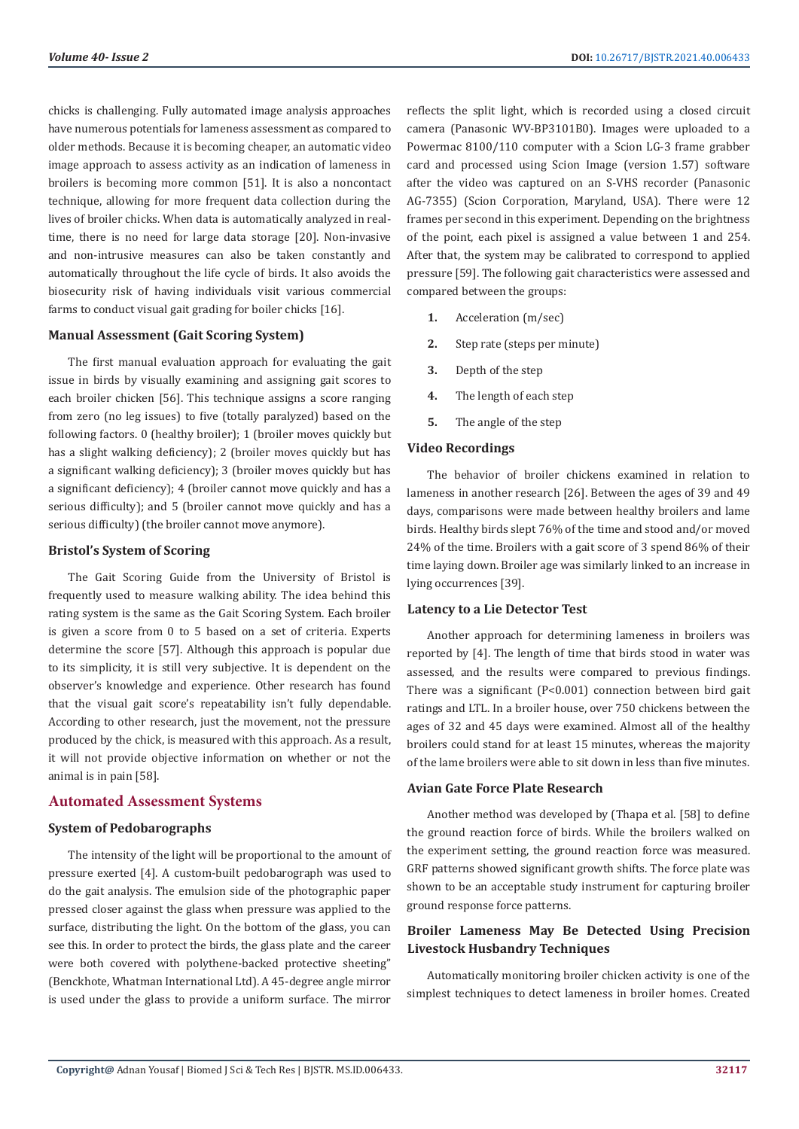chicks is challenging. Fully automated image analysis approaches have numerous potentials for lameness assessment as compared to older methods. Because it is becoming cheaper, an automatic video image approach to assess activity as an indication of lameness in broilers is becoming more common [51]. It is also a noncontact technique, allowing for more frequent data collection during the lives of broiler chicks. When data is automatically analyzed in realtime, there is no need for large data storage [20]. Non-invasive and non-intrusive measures can also be taken constantly and automatically throughout the life cycle of birds. It also avoids the biosecurity risk of having individuals visit various commercial farms to conduct visual gait grading for boiler chicks [16].

#### **Manual Assessment (Gait Scoring System)**

The first manual evaluation approach for evaluating the gait issue in birds by visually examining and assigning gait scores to each broiler chicken [56]. This technique assigns a score ranging from zero (no leg issues) to five (totally paralyzed) based on the following factors. 0 (healthy broiler); 1 (broiler moves quickly but has a slight walking deficiency); 2 (broiler moves quickly but has a significant walking deficiency); 3 (broiler moves quickly but has a significant deficiency); 4 (broiler cannot move quickly and has a serious difficulty); and 5 (broiler cannot move quickly and has a serious difficulty) (the broiler cannot move anymore).

#### **Bristol's System of Scoring**

The Gait Scoring Guide from the University of Bristol is frequently used to measure walking ability. The idea behind this rating system is the same as the Gait Scoring System. Each broiler is given a score from 0 to 5 based on a set of criteria. Experts determine the score [57]. Although this approach is popular due to its simplicity, it is still very subjective. It is dependent on the observer's knowledge and experience. Other research has found that the visual gait score's repeatability isn't fully dependable. According to other research, just the movement, not the pressure produced by the chick, is measured with this approach. As a result, it will not provide objective information on whether or not the animal is in pain [58].

#### **Automated Assessment Systems**

#### **System of Pedobarographs**

The intensity of the light will be proportional to the amount of pressure exerted [4]. A custom-built pedobarograph was used to do the gait analysis. The emulsion side of the photographic paper pressed closer against the glass when pressure was applied to the surface, distributing the light. On the bottom of the glass, you can see this. In order to protect the birds, the glass plate and the career were both covered with polythene-backed protective sheeting" (Benckhote, Whatman International Ltd). A 45-degree angle mirror is used under the glass to provide a uniform surface. The mirror

reflects the split light, which is recorded using a closed circuit camera (Panasonic WV-BP3101B0). Images were uploaded to a Powermac 8100/110 computer with a Scion LG-3 frame grabber card and processed using Scion Image (version 1.57) software after the video was captured on an S-VHS recorder (Panasonic AG-7355) (Scion Corporation, Maryland, USA). There were 12 frames per second in this experiment. Depending on the brightness of the point, each pixel is assigned a value between 1 and 254. After that, the system may be calibrated to correspond to applied pressure [59]. The following gait characteristics were assessed and compared between the groups:

- **1.** Acceleration (m/sec)
- **2.** Step rate (steps per minute)
- **3.** Depth of the step
- **4.** The length of each step
- **5.** The angle of the step

#### **Video Recordings**

The behavior of broiler chickens examined in relation to lameness in another research [26]. Between the ages of 39 and 49 days, comparisons were made between healthy broilers and lame birds. Healthy birds slept 76% of the time and stood and/or moved 24% of the time. Broilers with a gait score of 3 spend 86% of their time laying down. Broiler age was similarly linked to an increase in lying occurrences [39].

#### **Latency to a Lie Detector Test**

Another approach for determining lameness in broilers was reported by [4]. The length of time that birds stood in water was assessed, and the results were compared to previous findings. There was a significant (P<0.001) connection between bird gait ratings and LTL. In a broiler house, over 750 chickens between the ages of 32 and 45 days were examined. Almost all of the healthy broilers could stand for at least 15 minutes, whereas the majority of the lame broilers were able to sit down in less than five minutes.

#### **Avian Gate Force Plate Research**

Another method was developed by (Thapa et al. [58] to define the ground reaction force of birds. While the broilers walked on the experiment setting, the ground reaction force was measured. GRF patterns showed significant growth shifts. The force plate was shown to be an acceptable study instrument for capturing broiler ground response force patterns.

# **Broiler Lameness May Be Detected Using Precision Livestock Husbandry Techniques**

Automatically monitoring broiler chicken activity is one of the simplest techniques to detect lameness in broiler homes. Created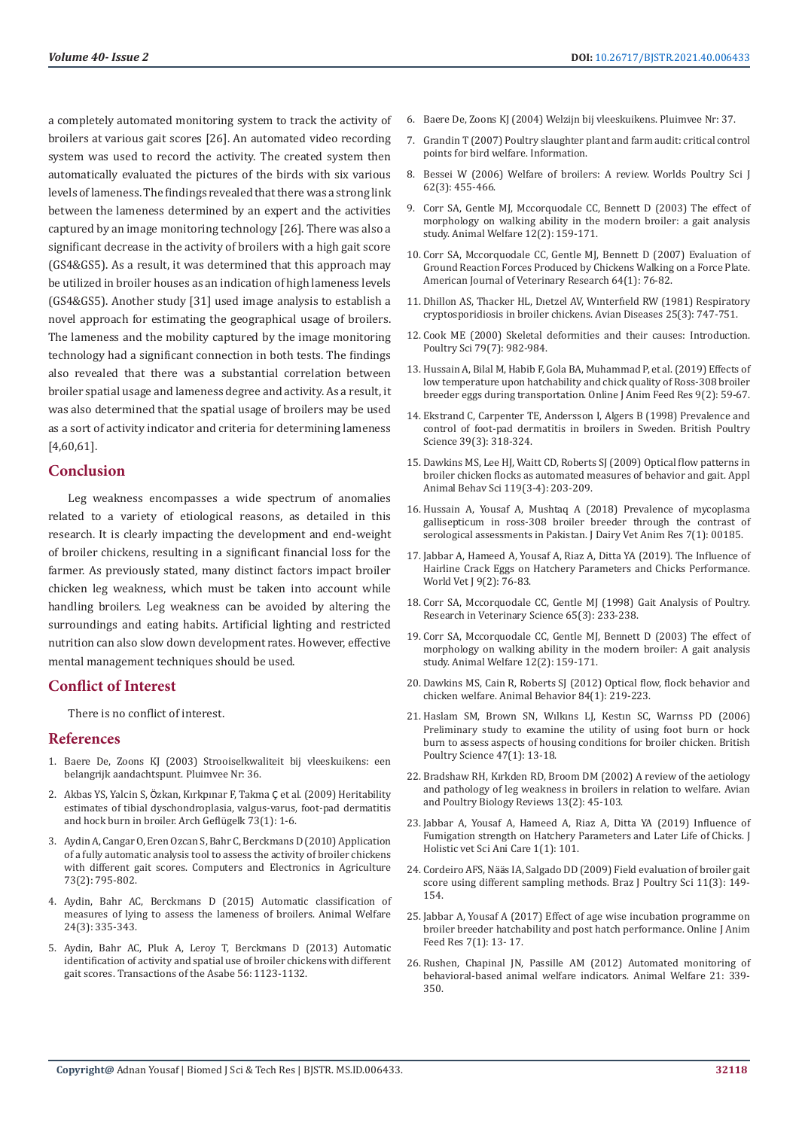a completely automated monitoring system to track the activity of broilers at various gait scores [26]. An automated video recording system was used to record the activity. The created system then automatically evaluated the pictures of the birds with six various levels of lameness. The findings revealed that there was a strong link between the lameness determined by an expert and the activities captured by an image monitoring technology [26]. There was also a significant decrease in the activity of broilers with a high gait score (GS4&GS5). As a result, it was determined that this approach may be utilized in broiler houses as an indication of high lameness levels (GS4&GS5). Another study [31] used image analysis to establish a novel approach for estimating the geographical usage of broilers. The lameness and the mobility captured by the image monitoring technology had a significant connection in both tests. The findings also revealed that there was a substantial correlation between broiler spatial usage and lameness degree and activity. As a result, it was also determined that the spatial usage of broilers may be used as a sort of activity indicator and criteria for determining lameness [4,60,61].

#### **Conclusion**

Leg weakness encompasses a wide spectrum of anomalies related to a variety of etiological reasons, as detailed in this research. It is clearly impacting the development and end-weight of broiler chickens, resulting in a significant financial loss for the farmer. As previously stated, many distinct factors impact broiler chicken leg weakness, which must be taken into account while handling broilers. Leg weakness can be avoided by altering the surroundings and eating habits. Artificial lighting and restricted nutrition can also slow down development rates. However, effective mental management techniques should be used.

#### **Conflict of Interest**

There is no conflict of interest.

#### **References**

- 1. Baere De, Zoons KJ (2003) Strooiselkwaliteit bij vleeskuikens: een belangrijk aandachtspunt. Pluimvee Nr: 36.
- 2. Akbas YS, Yalcin S, Ö[zkan, Kırkpınar F, Takma](https://www.european-poultry-science.com/Heritability-estimates-of-tibial-dyschondroplasia-valgus-varus-foot-pad-dermatitis-and-hock-burn-in-broiler,QUlEPTQyMTg5MjEmTUlEPTE2MTAxNA.html) Ç et al. (2009) Heritability [estimates of tibial dyschondroplasia, valgus-varus, foot-pad dermatitis](https://www.european-poultry-science.com/Heritability-estimates-of-tibial-dyschondroplasia-valgus-varus-foot-pad-dermatitis-and-hock-burn-in-broiler,QUlEPTQyMTg5MjEmTUlEPTE2MTAxNA.html)  [and hock burn in broiler. Arch Gefl](https://www.european-poultry-science.com/Heritability-estimates-of-tibial-dyschondroplasia-valgus-varus-foot-pad-dermatitis-and-hock-burn-in-broiler,QUlEPTQyMTg5MjEmTUlEPTE2MTAxNA.html)ügelk 73(1): 1-6.
- 3. Aydin A, Cangar O, Eren Ozcan S, Bahr C, Berckmans D (2010) Application of a fully automatic analysis tool to assess the activity of broiler chickens with different gait scores. Computers and Electronics in Agriculture 73(2): 795-802.
- 4. [Aydin, Bahr AC, Berckmans D \(2015\) Automatic classification of](https://www.ingentaconnect.com/contentone/ufaw/aw/2015/00000024/00000003/art00011)  [measures of lying to assess the lameness of broilers. Animal Welfare](https://www.ingentaconnect.com/contentone/ufaw/aw/2015/00000024/00000003/art00011)  [24\(3\): 335-343.](https://www.ingentaconnect.com/contentone/ufaw/aw/2015/00000024/00000003/art00011)
- 5. Aydin, Bahr AC, Pluk A, Leroy T, Berckmans D (2013) Automatic identification of activity and spatial use of broiler chickens with different gait scores. Transactions of the Asabe 56: 1123-1132.
- 6. Baere De, Zoons KJ (2004) Welzijn bij vleeskuikens. Pluimvee Nr: 37.
- 7. Grandin T (2007) Poultry slaughter plant and farm audit: critical control points for bird welfare. Information.
- 8. [Bessei W \(2006\) Welfare of broilers: A review. Worlds Poultry Sci J](https://www.researchgate.net/publication/231919285_Welfare_of_broilers_A_review) [62\(3\): 455-466.](https://www.researchgate.net/publication/231919285_Welfare_of_broilers_A_review)
- 9. [Corr SA, Gentle MJ, Mccorquodale CC, Bennett D \(2003\) The effect of](https://www.ingentaconnect.com/contentone/ufaw/aw/2003/00000012/00000002/art00002) [morphology on walking ability in the modern broiler: a gait analysis](https://www.ingentaconnect.com/contentone/ufaw/aw/2003/00000012/00000002/art00002) [study. Animal Welfare 12\(2\): 159-171.](https://www.ingentaconnect.com/contentone/ufaw/aw/2003/00000012/00000002/art00002)
- 10. [Corr SA, Mccorquodale CC, Gentle MJ, Bennett D \(2007\) Evaluation of](https://pubmed.ncbi.nlm.nih.gov/12518882/) [Ground Reaction Forces Produced by Chickens Walking on a Force Plate.](https://pubmed.ncbi.nlm.nih.gov/12518882/) [American Journal of Veterinary Research 64\(1\): 76-82.](https://pubmed.ncbi.nlm.nih.gov/12518882/)
- 11. Dhillon AS, Thacker HL, Dıetzel AV, Wınterfıeld RW (1981) Respiratory cryptosporidiosis in broiler chickens. Avian Diseases 25(3): 747-751.
- 12. [Cook ME \(2000\) Skeletal deformities and their causes: Introduction.](https://www.researchgate.net/publication/12418521_Skeletal_Deformities_and_Their_Causes_Introduction) [Poultry Sci 79\(7\): 982-984.](https://www.researchgate.net/publication/12418521_Skeletal_Deformities_and_Their_Causes_Introduction)
- 13. Hussain A, Bilal M, Habib F, Gola BA, Muhammad P, et al. (2019) Effects of low temperature upon hatchability and chick quality of Ross-308 broiler breeder eggs during transportation. Online J Anim Feed Res 9(2): 59-67.
- 14. [Ekstrand C, Carpenter TE, Andersson I, Algers B \(1998\) Prevalence and](https://pubmed.ncbi.nlm.nih.gov/9693810/) [control of foot-pad dermatitis in broilers in Sweden. British Poultry](https://pubmed.ncbi.nlm.nih.gov/9693810/) [Science 39\(3\): 318-324.](https://pubmed.ncbi.nlm.nih.gov/9693810/)
- 15. [Dawkins MS, Lee HJ, Waitt CD, Roberts SJ \(2009\) Optical flow patterns in](https://www.cabdirect.org/cabdirect/abstract/20093211687) [broiler chicken flocks as automated measures of behavior and gait. Appl](https://www.cabdirect.org/cabdirect/abstract/20093211687) [Animal Behav Sci 119\(3-4\): 203-209](https://www.cabdirect.org/cabdirect/abstract/20093211687).
- 16. [Hussain A, Yousaf A, Mushtaq A \(2018\) Prevalence of mycoplasma](https://www.researchgate.net/publication/326415967_Prevalence_of_mycoplasma_gallisepticum_in_ross-308_broiler_breeder_through_the_contrast_of_serological_assessments_in_Pakistan) [gallisepticum in ross-308 broiler breeder through the contrast of](https://www.researchgate.net/publication/326415967_Prevalence_of_mycoplasma_gallisepticum_in_ross-308_broiler_breeder_through_the_contrast_of_serological_assessments_in_Pakistan) [serological assessments in Pakistan. J Dairy Vet Anim Res 7\(1\): 00185.](https://www.researchgate.net/publication/326415967_Prevalence_of_mycoplasma_gallisepticum_in_ross-308_broiler_breeder_through_the_contrast_of_serological_assessments_in_Pakistan)
- 17. Jabbar A, Hameed A, Yousaf A, Riaz A, Ditta YA (2019). The Influence of Hairline Crack Eggs on Hatchery Parameters and Chicks Performance. World Vet J 9(2): 76-83.
- 18. [Corr SA, Mccorquodale CC, Gentle MJ \(1998\) Gait Analysis of Poultry.](https://pubmed.ncbi.nlm.nih.gov/9915149/) [Research in Veterinary Science 65\(3\): 233-238.](https://pubmed.ncbi.nlm.nih.gov/9915149/)
- 19. Corr SA, Mccorquodale CC, Gentle MJ, Bennett D (2003) The effect of morphology on walking ability in the modern broiler: A gait analysis study. Animal Welfare 12(2): 159-171.
- 20. [Dawkins MS, Cain R, Roberts SJ \(2012\) Optical flow, flock behavior and](https://www.cabdirect.org/cabdirect/abstract/20123275971) [chicken welfare. Animal Behavior 84\(1\): 219-223.](https://www.cabdirect.org/cabdirect/abstract/20123275971)
- 21. [Haslam SM, Brown SN, Wılkıns LJ, Kestın SC, Warrıss PD \(2006\)](https://pubmed.ncbi.nlm.nih.gov/16546791/) [Preliminary study to examine the utility of using foot burn or hock](https://pubmed.ncbi.nlm.nih.gov/16546791/) [burn to assess aspects of housing conditions for broiler chicken. British](https://pubmed.ncbi.nlm.nih.gov/16546791/) [Poultry Science 47\(1\): 13-18.](https://pubmed.ncbi.nlm.nih.gov/16546791/)
- 22. [Bradshaw RH, Kırkden RD, Broom DM \(2002\) A review of the aetiology](https://www.researchgate.net/publication/233673087_A_Review_of_the_Aetiology_and_Pathology_of_Leg_Weakness_in_Broilers_in_Relation_to_Welfare) [and pathology of leg weakness in broilers in relation to welfare. Avian](https://www.researchgate.net/publication/233673087_A_Review_of_the_Aetiology_and_Pathology_of_Leg_Weakness_in_Broilers_in_Relation_to_Welfare) [and Poultry Biology Reviews 13\(2\): 45-103.](https://www.researchgate.net/publication/233673087_A_Review_of_the_Aetiology_and_Pathology_of_Leg_Weakness_in_Broilers_in_Relation_to_Welfare)
- 23. Jabbar A, Yousaf A, Hameed A, Riaz A, Ditta YA (2019) Influence of Fumigation strength on Hatchery Parameters and Later Life of Chicks. J Holistic vet Sci Ani Care 1(1): 101.
- 24. Cordeiro AFS, Nää[s IA, Salgado DD \(2009\) Field evaluation of broiler gait](https://www.researchgate.net/publication/250033518_Field_Evaluation_of_Broiler_Gait_Score_Using_Different_Sampling_Methods) [score using different sampling methods. Braz J Poultry Sci 11\(3\): 149-](https://www.researchgate.net/publication/250033518_Field_Evaluation_of_Broiler_Gait_Score_Using_Different_Sampling_Methods) [154.](https://www.researchgate.net/publication/250033518_Field_Evaluation_of_Broiler_Gait_Score_Using_Different_Sampling_Methods)
- 25. Jabbar A, Yousaf A (2017) Effect of age wise incubation programme on broiler breeder hatchability and post hatch performance. Online J Anim Feed Res 7(1): 13- 17.
- 26. [Rushen, Chapinal JN, Passille AM \(2012\) Automated monitoring of](https://www.researchgate.net/publication/235736968_Automated_monitoring_of_behavioural-based_animal_welfare_indicators) [behavioral-based animal welfare indicators. Animal Welfare 21: 339-](https://www.researchgate.net/publication/235736968_Automated_monitoring_of_behavioural-based_animal_welfare_indicators) [350.](https://www.researchgate.net/publication/235736968_Automated_monitoring_of_behavioural-based_animal_welfare_indicators)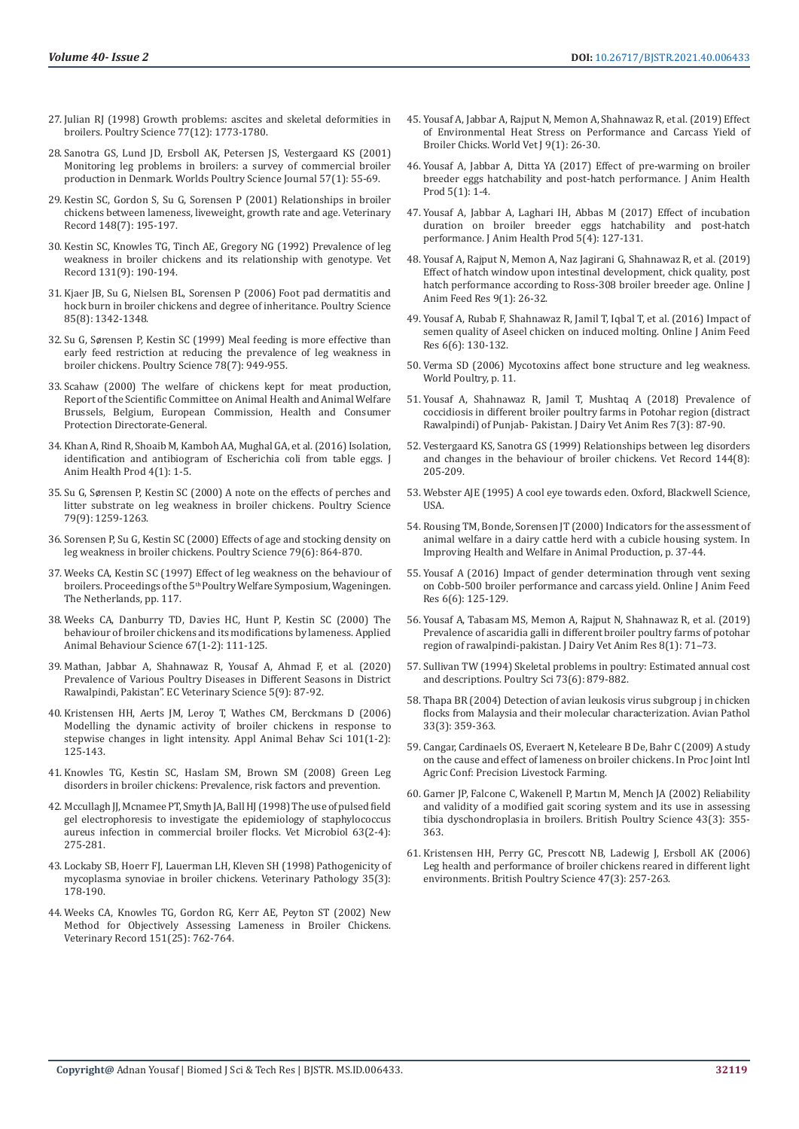- 27. [Julian RJ \(1998\) Growth problems: ascites and skeletal deformities in](https://pubmed.ncbi.nlm.nih.gov/9872578/)  [broilers. Poultry Science 77\(12\): 1773-1780.](https://pubmed.ncbi.nlm.nih.gov/9872578/)
- 28. [Sanotra GS, Lund JD, Ersboll AK, Petersen JS, Vestergaard KS \(2001\)](https://www.tandfonline.com/doi/abs/10.1079/WPS20010006)  [Monitoring leg problems in broilers: a survey of commercial broiler](https://www.tandfonline.com/doi/abs/10.1079/WPS20010006)  [production in Denmark. Worlds Poultry Science Journal 57\(1\): 55-69.](https://www.tandfonline.com/doi/abs/10.1079/WPS20010006)
- 29. [Kestin SC, Gordon S, Su G, Sorensen P \(2001\) Relationships in broiler](https://pubmed.ncbi.nlm.nih.gov/11265995/)  [chickens between lameness, liveweight, growth rate and age. Veterinary](https://pubmed.ncbi.nlm.nih.gov/11265995/)  [Record 148\(7\): 195-197.](https://pubmed.ncbi.nlm.nih.gov/11265995/)
- 30. [Kestin SC, Knowles TG, Tinch AE, Gregory NG \(1992\) Prevalence of leg](https://pubmed.ncbi.nlm.nih.gov/1441174/)  [weakness in broiler chickens and its relationship with genotype. Vet](https://pubmed.ncbi.nlm.nih.gov/1441174/)  [Record 131\(9\): 190-194.](https://pubmed.ncbi.nlm.nih.gov/1441174/)
- 31. [Kjaer JB, Su G, Nielsen BL, Sorensen P \(2006\) Foot pad dermatitis and](https://pubmed.ncbi.nlm.nih.gov/16903463/)  [hock burn in broiler chickens and degree of inheritance. Poultry Science](https://pubmed.ncbi.nlm.nih.gov/16903463/)  [85\(8\): 1342-1348.](https://pubmed.ncbi.nlm.nih.gov/16903463/)
- 32. Su G, Sø[rensen P, Kestin SC \(1999\) Meal feeding is more effective than](https://pubmed.ncbi.nlm.nih.gov/10404674/)  [early feed restriction at reducing the prevalence of leg weakness in](https://pubmed.ncbi.nlm.nih.gov/10404674/)  [broiler chickens. Poultry Science 78\(7\): 949-955.](https://pubmed.ncbi.nlm.nih.gov/10404674/)
- 33. Scahaw (2000) The welfare of chickens kept for meat production, Report of the Scientific Committee on Animal Health and Animal Welfare Brussels, Belgium, European Commission, Health and Consumer Protection Directorate-General.
- 34. [Khan A, Rind R, Shoaib M, Kamboh AA, Mughal GA, et al. \(2016\) Isolation,](https://www.researchgate.net/publication/287109376_Isolation_Identification_and_Antibiogram_of_Escherichia_coli_from_Table_Eggs)  [identification and antibiogram of Escherichia coli from table eggs. J](https://www.researchgate.net/publication/287109376_Isolation_Identification_and_Antibiogram_of_Escherichia_coli_from_Table_Eggs)  [Anim Health Prod 4\(1\): 1-5.](https://www.researchgate.net/publication/287109376_Isolation_Identification_and_Antibiogram_of_Escherichia_coli_from_Table_Eggs)
- 35. Su G, Sørensen P, Kestin SC (2000) A note on the effects of perches and litter substrate on leg weakness in broiler chickens. Poultry Science 79(9): 1259-1263.
- 36. [Sorensen P, Su G, Kestin SC \(2000\) Effects of age and stocking density on](https://www.researchgate.net/publication/12442744_Effects_of_Age_and_Stocking_Density_on_Leg_Weakness_in_Broiler_Chickens)  [leg weakness in broiler chickens. Poultry Science 79\(6\): 864-870.](https://www.researchgate.net/publication/12442744_Effects_of_Age_and_Stocking_Density_on_Leg_Weakness_in_Broiler_Chickens)
- 37. Weeks CA, Kestin SC (1997) Effect of leg weakness on the behaviour of broilers. Proceedings of the 5<sup>th</sup> Poultry Welfare Symposium, Wageningen. The Netherlands, pp. 117.
- 38. [Weeks CA, Danburry TD, Davies HC, Hunt P, Kestin SC \(2000\) The](https://www.researchgate.net/publication/12597109_The_behaviour_of_broiler_chickens_and_its_modification_by_lameness)  [behaviour of broiler chickens and its modifications by lameness. Applied](https://www.researchgate.net/publication/12597109_The_behaviour_of_broiler_chickens_and_its_modification_by_lameness)  [Animal Behaviour Science 67\(1-2\): 111-125](https://www.researchgate.net/publication/12597109_The_behaviour_of_broiler_chickens_and_its_modification_by_lameness).
- 39. Mathan, Jabbar A, Shahnawaz R, Yousaf A, Ahmad F, et al. (2020) Prevalence of Various Poultry Diseases in Different Seasons in District Rawalpindi, Pakistan". EC Veterinary Science 5(9): 87-92.
- 40. Kristensen HH, Aerts JM, Leroy T, Wathes CM, Berckmans D (2006) Modelling the dynamic activity of broiler chickens in response to stepwise changes in light intensity. Appl Animal Behav Sci 101(1-2): 125-143.
- 41. Knowles TG, Kestin SC, Haslam SM, Brown SM (2008) Green Leg disorders in broiler chickens: Prevalence, risk factors and prevention.
- 42. [Mccullagh JJ, Mcnamee PT, Smyth JA, Ball HJ \(1998\) The use of pulsed field](https://europepmc.org/article/med/9851005)  [gel electrophoresis to investigate the epidemiology of staphylococcus](https://europepmc.org/article/med/9851005)  [aureus infection in commercial broiler flocks. Vet Microbiol 63\(2-4\):](https://europepmc.org/article/med/9851005)  [275-281.](https://europepmc.org/article/med/9851005)
- 43. [Lockaby SB, Hoerr FJ, Lauerman LH, Kleven SH \(1998\) Pathogenicity of](https://pubmed.ncbi.nlm.nih.gov/9598581/)  [mycoplasma synoviae in broiler chickens. Veterinary Pathology 35\(3\):](https://pubmed.ncbi.nlm.nih.gov/9598581/)  [178-190.](https://pubmed.ncbi.nlm.nih.gov/9598581/)
- 44. [Weeks CA, Knowles TG, Gordon RG, Kerr AE, Peyton ST \(2002\) New](https://www.researchgate.net/publication/10957081_New_method_for_objectively_assessing_lamenes_in_broiler_chickens)  [Method for Objectively Assessing Lameness in Broiler Chickens.](https://www.researchgate.net/publication/10957081_New_method_for_objectively_assessing_lamenes_in_broiler_chickens)  [Veterinary Record 151\(25\): 762-764.](https://www.researchgate.net/publication/10957081_New_method_for_objectively_assessing_lamenes_in_broiler_chickens)
- 45. Yousaf A, Jabbar A, Rajput N, Memon A, Shahnawaz R, et al. (2019) Effect of Environmental Heat Stress on Performance and Carcass Yield of Broiler Chicks. World Vet J 9(1): 26-30.
- 46. Yousaf A, Jabbar A, Ditta YA (2017) Effect of pre-warming on broiler breeder eggs hatchability and post-hatch performance. J Anim Health Prod 5(1): 1-4.
- 47. [Yousaf A, Jabbar A, Laghari IH, Abbas M \(2017\) Effect of incubation](https://www.researchgate.net/publication/323132675_Effect_of_Incubation_Duration_on_Broiler_Breeder_Eggs_Hatchability_and_Post-Hatch_Performance) [duration on broiler breeder eggs hatchability and post-hatch](https://www.researchgate.net/publication/323132675_Effect_of_Incubation_Duration_on_Broiler_Breeder_Eggs_Hatchability_and_Post-Hatch_Performance) [performance. J Anim Health Prod 5\(4\): 127-131.](https://www.researchgate.net/publication/323132675_Effect_of_Incubation_Duration_on_Broiler_Breeder_Eggs_Hatchability_and_Post-Hatch_Performance)
- 48. [Yousaf A, Rajput N, Memon A, Naz Jagirani G, Shahnawaz R, et al. \(2019\)](https://www.researchgate.net/publication/330673099_Effect_of_hatch_window_upon_intestinal_development_Chick_quality_Post_hatch_performance_according_to_Ross-308_broiler_breeder_age) [Effect of hatch window upon intestinal development, chick quality, post](https://www.researchgate.net/publication/330673099_Effect_of_hatch_window_upon_intestinal_development_Chick_quality_Post_hatch_performance_according_to_Ross-308_broiler_breeder_age) [hatch performance according to Ross-308 broiler breeder age. Online J](https://www.researchgate.net/publication/330673099_Effect_of_hatch_window_upon_intestinal_development_Chick_quality_Post_hatch_performance_according_to_Ross-308_broiler_breeder_age) [Anim Feed Res 9\(1\): 26-32.](https://www.researchgate.net/publication/330673099_Effect_of_hatch_window_upon_intestinal_development_Chick_quality_Post_hatch_performance_according_to_Ross-308_broiler_breeder_age)
- 49. Yousaf A, Rubab F, Shahnawaz R, Jamil T, Iqbal T, et al. (2016) Impact of semen quality of Aseel chicken on induced molting. Online J Anim Feed Res 6(6): 130-132.
- 50. Verma SD (2006) Mycotoxins affect bone structure and leg weakness. World Poultry, p. 11.
- 51. Yousaf A, Shahnawaz R, Jamil T, Mushtaq A (2018) Prevalence of coccidiosis in different broiler poultry farms in Potohar region (distract Rawalpindi) of Punjab- Pakistan. J Dairy Vet Anim Res 7(3): 87-90.
- 52. [Vestergaard KS, Sanotra GS \(1999\) Relationships between leg disorders](https://pubmed.ncbi.nlm.nih.gov/10097343/) [and changes in the behaviour of broiler chickens. Vet Record 144\(8\):](https://pubmed.ncbi.nlm.nih.gov/10097343/) [205-209.](https://pubmed.ncbi.nlm.nih.gov/10097343/)
- 53. Webster AJE (1995) A cool eye towards eden. Oxford, Blackwell Science, USA.
- 54. [Rousing TM, Bonde, Sorensen JT \(2000\) Indicators for the assessment of](https://www.cabdirect.org/cabdirect/abstract/20003014367) [animal welfare in a dairy cattle herd with a cubicle housing system. In](https://www.cabdirect.org/cabdirect/abstract/20003014367) [Improving Health and Welfare in Animal Production, p. 37-44.](https://www.cabdirect.org/cabdirect/abstract/20003014367)
- 55. Yousaf A (2016) Impact of gender determination through vent sexing on Cobb-500 broiler performance and carcass yield. Online J Anim Feed Res 6(6): 125-129.
- 56. Yousaf A, Tabasam MS, Memon A, Rajput N, Shahnawaz R, et al. (2019) Prevalence of ascaridia galli in different broiler poultry farms of potohar region of rawalpindi-pakistan. J Dairy Vet Anim Res 8(1): 71-73.
- 57. [Sullivan TW \(1994\) Skeletal problems in poultry: Estimated annual cost](https://pubmed.ncbi.nlm.nih.gov/8072932/) [and descriptions. Poultry Sci 73\(6\): 879-882.](https://pubmed.ncbi.nlm.nih.gov/8072932/)
- 58. [Thapa BR \(2004\) Detection of avian leukosis virus subgroup j in chicken](https://pubmed.ncbi.nlm.nih.gov/15223566/) [flocks from Malaysia and their molecular characterization. Avian Pathol](https://pubmed.ncbi.nlm.nih.gov/15223566/) [33\(3\): 359-363.](https://pubmed.ncbi.nlm.nih.gov/15223566/)
- 59. Cangar, Cardinaels OS, Everaert N, Keteleare B De, Bahr C (2009) A study on the cause and effect of lameness on broiler chickens. In Proc Joint Intl Agric Conf: Precision Livestock Farming.
- 60. [Garner JP, Falcone C, Wakenell P, Martın M, Mench JA \(2002\) Reliability](https://pubmed.ncbi.nlm.nih.gov/12195794/) [and validity of a modified gait scoring system and its use in assessing](https://pubmed.ncbi.nlm.nih.gov/12195794/) [tibia dyschondroplasia in broilers. British Poultry Science 43\(3\): 355-](https://pubmed.ncbi.nlm.nih.gov/12195794/) [363.](https://pubmed.ncbi.nlm.nih.gov/12195794/)
- 61. Kristensen HH, Perry GC, Prescott NB, Ladewig J, Ersboll AK (2006) Leg health and performance of broiler chickens reared in different light environments. British Poultry Science 47(3): 257-263.